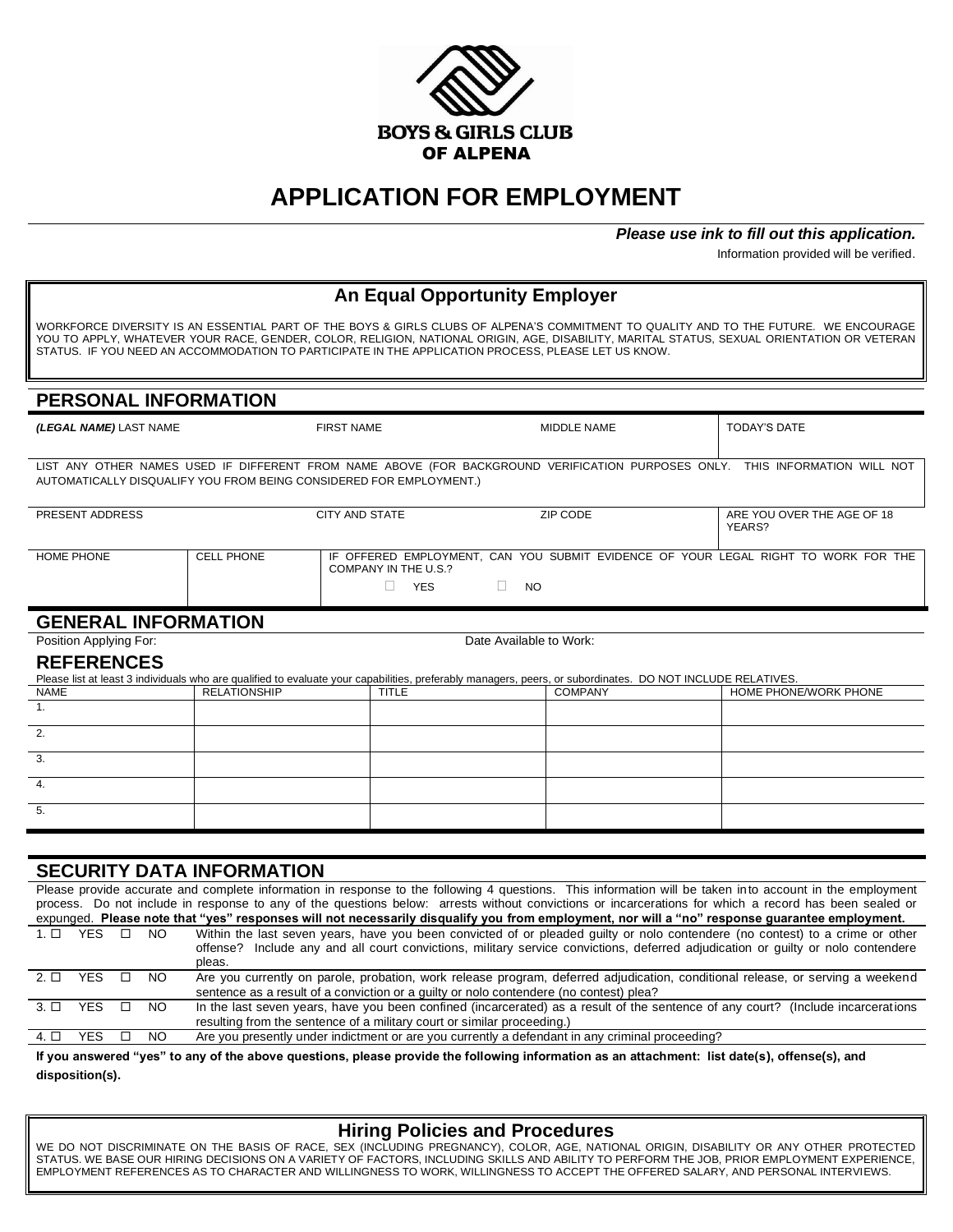

# **APPLICATION FOR EMPLOYMENT**

#### *Please use ink to fill out this application.*

Information provided will be verified.

| <b>An Equal Opportunity Employer</b>                                                                                                                                                                                                                                                                                                                                                      |                                                                                                                                                                            |                                                                                                                                                                                                                          |                                                                                                                                                           |                                                                                                                                                                                                                                                                                                                                                                                                                                                                      |  |  |  |
|-------------------------------------------------------------------------------------------------------------------------------------------------------------------------------------------------------------------------------------------------------------------------------------------------------------------------------------------------------------------------------------------|----------------------------------------------------------------------------------------------------------------------------------------------------------------------------|--------------------------------------------------------------------------------------------------------------------------------------------------------------------------------------------------------------------------|-----------------------------------------------------------------------------------------------------------------------------------------------------------|----------------------------------------------------------------------------------------------------------------------------------------------------------------------------------------------------------------------------------------------------------------------------------------------------------------------------------------------------------------------------------------------------------------------------------------------------------------------|--|--|--|
| WORKFORCE DIVERSITY IS AN ESSENTIAL PART OF THE BOYS & GIRLS CLUBS OF ALPENA'S COMMITMENT TO QUALITY AND TO THE FUTURE. WE ENCOURAGE<br>YOU TO APPLY, WHATEVER YOUR RACE, GENDER, COLOR, RELIGION, NATIONAL ORIGIN, AGE, DISABILITY, MARITAL STATUS, SEXUAL ORIENTATION OR VETERAN<br>STATUS. IF YOU NEED AN ACCOMMODATION TO PARTICIPATE IN THE APPLICATION PROCESS, PLEASE LET US KNOW. |                                                                                                                                                                            |                                                                                                                                                                                                                          |                                                                                                                                                           |                                                                                                                                                                                                                                                                                                                                                                                                                                                                      |  |  |  |
| PERSONAL INFORMATION                                                                                                                                                                                                                                                                                                                                                                      |                                                                                                                                                                            |                                                                                                                                                                                                                          |                                                                                                                                                           |                                                                                                                                                                                                                                                                                                                                                                                                                                                                      |  |  |  |
| (LEGAL NAME) LAST NAME                                                                                                                                                                                                                                                                                                                                                                    |                                                                                                                                                                            | <b>FIRST NAME</b>                                                                                                                                                                                                        | <b>MIDDLE NAME</b>                                                                                                                                        | <b>TODAY'S DATE</b>                                                                                                                                                                                                                                                                                                                                                                                                                                                  |  |  |  |
|                                                                                                                                                                                                                                                                                                                                                                                           |                                                                                                                                                                            | AUTOMATICALLY DISQUALIFY YOU FROM BEING CONSIDERED FOR EMPLOYMENT.)                                                                                                                                                      |                                                                                                                                                           | LIST ANY OTHER NAMES USED IF DIFFERENT FROM NAME ABOVE (FOR BACKGROUND VERIFICATION PURPOSES ONLY. THIS INFORMATION WILL NOT                                                                                                                                                                                                                                                                                                                                         |  |  |  |
| PRESENT ADDRESS                                                                                                                                                                                                                                                                                                                                                                           |                                                                                                                                                                            | <b>CITY AND STATE</b>                                                                                                                                                                                                    | ZIP CODE                                                                                                                                                  | ARE YOU OVER THE AGE OF 18<br>YEARS?                                                                                                                                                                                                                                                                                                                                                                                                                                 |  |  |  |
| <b>HOME PHONE</b>                                                                                                                                                                                                                                                                                                                                                                         | IF OFFERED EMPLOYMENT, CAN YOU SUBMIT EVIDENCE OF YOUR LEGAL RIGHT TO WORK FOR THE<br><b>CELL PHONE</b><br>COMPANY IN THE U.S.?<br>$\Box$ YES<br>П.<br><b>NO</b>           |                                                                                                                                                                                                                          |                                                                                                                                                           |                                                                                                                                                                                                                                                                                                                                                                                                                                                                      |  |  |  |
| <b>GENERAL INFORMATION</b>                                                                                                                                                                                                                                                                                                                                                                |                                                                                                                                                                            |                                                                                                                                                                                                                          |                                                                                                                                                           |                                                                                                                                                                                                                                                                                                                                                                                                                                                                      |  |  |  |
| Position Applying For:                                                                                                                                                                                                                                                                                                                                                                    |                                                                                                                                                                            |                                                                                                                                                                                                                          | Date Available to Work:                                                                                                                                   |                                                                                                                                                                                                                                                                                                                                                                                                                                                                      |  |  |  |
| <b>REFERENCES</b>                                                                                                                                                                                                                                                                                                                                                                         |                                                                                                                                                                            |                                                                                                                                                                                                                          | Please list at least 3 individuals who are qualified to evaluate your capabilities, preferably managers, peers, or subordinates. DO NOT INCLUDE RELATIVES |                                                                                                                                                                                                                                                                                                                                                                                                                                                                      |  |  |  |
| <b>NAME</b>                                                                                                                                                                                                                                                                                                                                                                               | <b>RELATIONSHIP</b>                                                                                                                                                        | <b>TITLE</b>                                                                                                                                                                                                             | <b>COMPANY</b>                                                                                                                                            | HOME PHONE/WORK PHONE                                                                                                                                                                                                                                                                                                                                                                                                                                                |  |  |  |
| 1.                                                                                                                                                                                                                                                                                                                                                                                        |                                                                                                                                                                            |                                                                                                                                                                                                                          |                                                                                                                                                           |                                                                                                                                                                                                                                                                                                                                                                                                                                                                      |  |  |  |
| 2.                                                                                                                                                                                                                                                                                                                                                                                        |                                                                                                                                                                            |                                                                                                                                                                                                                          |                                                                                                                                                           |                                                                                                                                                                                                                                                                                                                                                                                                                                                                      |  |  |  |
| 3.                                                                                                                                                                                                                                                                                                                                                                                        |                                                                                                                                                                            |                                                                                                                                                                                                                          |                                                                                                                                                           |                                                                                                                                                                                                                                                                                                                                                                                                                                                                      |  |  |  |
| 4.                                                                                                                                                                                                                                                                                                                                                                                        |                                                                                                                                                                            |                                                                                                                                                                                                                          |                                                                                                                                                           |                                                                                                                                                                                                                                                                                                                                                                                                                                                                      |  |  |  |
| 5.                                                                                                                                                                                                                                                                                                                                                                                        |                                                                                                                                                                            |                                                                                                                                                                                                                          |                                                                                                                                                           |                                                                                                                                                                                                                                                                                                                                                                                                                                                                      |  |  |  |
|                                                                                                                                                                                                                                                                                                                                                                                           |                                                                                                                                                                            |                                                                                                                                                                                                                          |                                                                                                                                                           |                                                                                                                                                                                                                                                                                                                                                                                                                                                                      |  |  |  |
| <b>SECURITY DATA INFORMATION</b>                                                                                                                                                                                                                                                                                                                                                          |                                                                                                                                                                            |                                                                                                                                                                                                                          |                                                                                                                                                           |                                                                                                                                                                                                                                                                                                                                                                                                                                                                      |  |  |  |
|                                                                                                                                                                                                                                                                                                                                                                                           |                                                                                                                                                                            |                                                                                                                                                                                                                          |                                                                                                                                                           | Please provide accurate and complete information in response to the following 4 questions. This information will be taken into account in the employment<br>process. Do not include in response to any of the questions below: arrests without convictions or incarcerations for which a record has been sealed or<br>expunged. Please note that "yes" responses will not necessarily disqualify you from employment, nor will a "no" response guarantee employment. |  |  |  |
| $1. \Box$ YES $\Box$ NO                                                                                                                                                                                                                                                                                                                                                                   | pleas.                                                                                                                                                                     |                                                                                                                                                                                                                          |                                                                                                                                                           | Within the last seven years, have you been convicted of or pleaded guilty or nolo contendere (no contest) to a crime or other<br>offense? Include any and all court convictions, military service convictions, deferred adjudication or guilty or nolo contendere                                                                                                                                                                                                    |  |  |  |
| <b>YES</b><br>$\Box$<br><b>NO</b><br>$2. \Box$                                                                                                                                                                                                                                                                                                                                            |                                                                                                                                                                            | Are you currently on parole, probation, work release program, deferred adjudication, conditional release, or serving a weekend<br>sentence as a result of a conviction or a guilty or nolo contendere (no contest) plea? |                                                                                                                                                           |                                                                                                                                                                                                                                                                                                                                                                                                                                                                      |  |  |  |
| <b>YES</b><br>$\Box$<br><b>NO</b><br>$3. \Box$                                                                                                                                                                                                                                                                                                                                            |                                                                                                                                                                            |                                                                                                                                                                                                                          |                                                                                                                                                           | In the last seven years, have you been confined (incarcerated) as a result of the sentence of any court? (Include incarcerations                                                                                                                                                                                                                                                                                                                                     |  |  |  |
| $4. \Box$<br><b>YES</b><br>$\Box$<br><b>NO</b>                                                                                                                                                                                                                                                                                                                                            | resulting from the sentence of a military court or similar proceeding.)<br>Are you presently under indictment or are you currently a defendant in any criminal proceeding? |                                                                                                                                                                                                                          |                                                                                                                                                           |                                                                                                                                                                                                                                                                                                                                                                                                                                                                      |  |  |  |
|                                                                                                                                                                                                                                                                                                                                                                                           |                                                                                                                                                                            |                                                                                                                                                                                                                          |                                                                                                                                                           | If you answered "yes" to any of the above questions, please provide the following information as an attachment: list date(s), offense(s), and                                                                                                                                                                                                                                                                                                                        |  |  |  |

**disposition(s).**

## **Hiring Policies and Procedures**

WE DO NOT DISCRIMINATE ON THE BASIS OF RACE, SEX (INCLUDING PREGNANCY), COLOR, AGE, NATIONAL ORIGIN, DISABILITY OR ANY OTHER PROTECTED<br>STATUS. WE BASE OUR HIRING DECISIONS ON A VARIETY OF FACTORS, INCLUDING SKILLS AND ABIL EMPLOYMENT REFERENCES AS TO CHARACTER AND WILLINGNESS TO WORK, WILLINGNESS TO ACCEPT THE OFFERED SALARY, AND PERSONAL INTERVIEWS.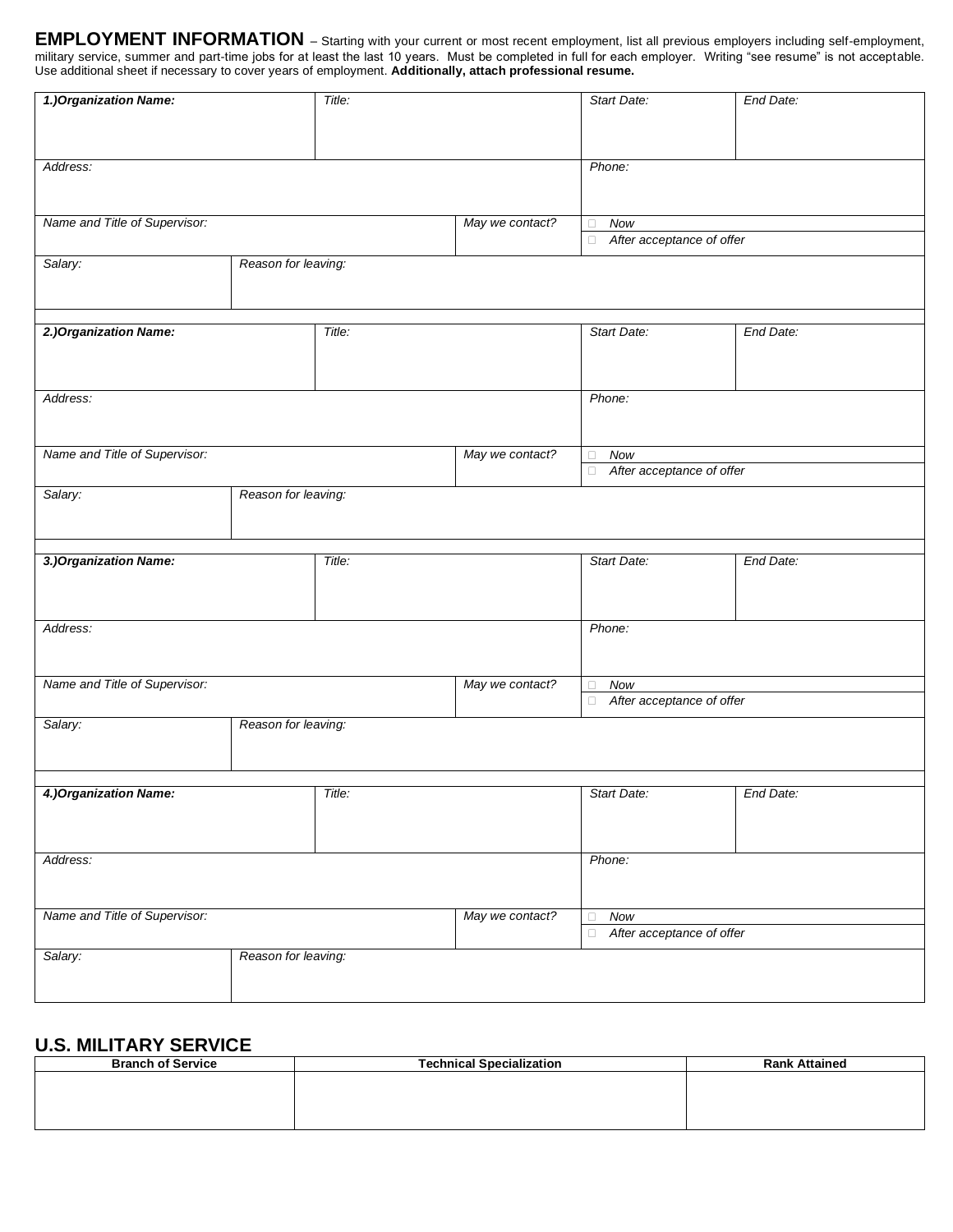**EMPLOYMENT INFORMATION** *–* Starting with your current or most recent employment, list all previous employers including self-employment, military service, summer and part-time jobs for at least the last 10 years. Must be completed in full for each employer. Writing "see resume" is not acceptable. Use additional sheet if necessary to cover years of employment. **Additionally, attach professional resume.**

| 1.) Organization Name:                           |                     | Title: |                 | Start Date:                         | End Date: |  |
|--------------------------------------------------|---------------------|--------|-----------------|-------------------------------------|-----------|--|
|                                                  |                     |        |                 |                                     |           |  |
|                                                  |                     |        |                 |                                     |           |  |
| Address:                                         |                     |        |                 | Phone:                              |           |  |
|                                                  |                     |        |                 |                                     |           |  |
| Name and Title of Supervisor:                    |                     |        | May we contact? | Now<br>$\Box$                       |           |  |
|                                                  |                     |        |                 | After acceptance of offer<br>$\Box$ |           |  |
| Salary:                                          | Reason for leaving: |        |                 |                                     |           |  |
|                                                  |                     |        |                 |                                     |           |  |
|                                                  |                     |        |                 |                                     |           |  |
| 2.) Organization Name:                           |                     | Title: |                 | Start Date:                         | End Date: |  |
|                                                  |                     |        |                 |                                     |           |  |
|                                                  |                     |        |                 |                                     |           |  |
| Address:                                         |                     |        |                 | Phone:                              |           |  |
|                                                  |                     |        |                 |                                     |           |  |
| Name and Title of Supervisor:                    |                     |        | May we contact? | Now<br>$\Box$                       |           |  |
|                                                  |                     |        |                 | After acceptance of offer<br>$\Box$ |           |  |
| Salary:                                          | Reason for leaving: |        |                 |                                     |           |  |
|                                                  |                     |        |                 |                                     |           |  |
|                                                  |                     |        |                 |                                     |           |  |
| 3.) Organization Name:                           |                     | Title: |                 | Start Date:                         | End Date: |  |
|                                                  |                     |        |                 |                                     |           |  |
|                                                  |                     |        |                 |                                     |           |  |
| Address:                                         |                     |        |                 | Phone:                              |           |  |
|                                                  |                     |        |                 |                                     |           |  |
| Name and Title of Supervisor:                    |                     |        | May we contact? | Now<br>$\Box$                       |           |  |
|                                                  |                     |        |                 | After acceptance of offer<br>$\Box$ |           |  |
| Salary:                                          | Reason for leaving: |        |                 |                                     |           |  |
|                                                  |                     |        |                 |                                     |           |  |
|                                                  |                     |        |                 |                                     |           |  |
| 4.) Organization Name:                           |                     | Title: |                 | Start Date:                         | End Date: |  |
|                                                  |                     |        |                 |                                     |           |  |
|                                                  |                     |        |                 |                                     |           |  |
| Address:                                         |                     |        |                 | Phone:                              |           |  |
|                                                  |                     |        |                 |                                     |           |  |
| Name and Title of Supervisor:<br>May we contact? |                     |        | <b>Now</b>      |                                     |           |  |
|                                                  |                     |        |                 | After acceptance of offer<br>$\Box$ |           |  |
| Salary:                                          | Reason for leaving: |        |                 |                                     |           |  |
|                                                  |                     |        |                 |                                     |           |  |
|                                                  |                     |        |                 |                                     |           |  |

### **U.S. MILITARY SERVICE**

| <b>Branch of Service</b> | <b>Technical Specialization</b> | <b>Rank Attained</b> |
|--------------------------|---------------------------------|----------------------|
|                          |                                 |                      |
|                          |                                 |                      |
|                          |                                 |                      |
|                          |                                 |                      |